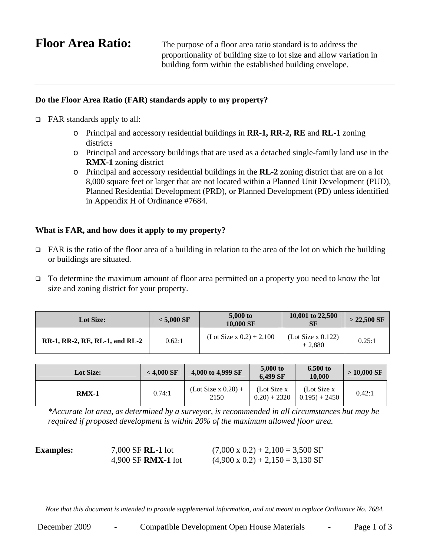**Floor Area Ratio:** The purpose of a floor area ratio standard is to address the proportionality of building size to lot size and allow variation in building form within the established building envelope.

## **Do the Floor Area Ratio (FAR) standards apply to my property?**

- $\Box$  FAR standards apply to all:
	- o Principal and accessory residential buildings in **RR-1, RR-2, RE** and **RL-1** zoning districts
	- o Principal and accessory buildings that are used as a detached single-family land use in the **RMX-1** zoning district
	- o Principal and accessory residential buildings in the **RL-2** zoning district that are on a lot 8,000 square feet or larger that are not located within a Planned Unit Development (PUD), Planned Residential Development (PRD), or Planned Development (PD) unless identified in Appendix H of Ordinance #7684.

## **What is FAR, and how does it apply to my property?**

- $\Box$  FAR is the ratio of the floor area of a building in relation to the area of the lot on which the building or buildings are situated.
- To determine the maximum amount of floor area permitted on a property you need to know the lot size and zoning district for your property.

| <b>Lot Size:</b>               | $<$ 5.000 SF | 5,000 to<br>10,000 SF      | 10,001 to 22,500<br>SF              | $>$ 22,500 SF |
|--------------------------------|--------------|----------------------------|-------------------------------------|---------------|
| RR-1, RR-2, RE, RL-1, and RL-2 | 0.62:1       | $(Lot Size x 0.2) + 2,100$ | $($ Lot Size x $0.122)$<br>$+2.880$ | 0.25:1        |

| <b>Lot Size:</b> | $<$ 4.000 SF | 4,000 to 4,999 SF             | 5,000 to<br>6.499 SF          | $6.500$ to<br>10.000           | $>10,000$ SF |
|------------------|--------------|-------------------------------|-------------------------------|--------------------------------|--------------|
| $RMX-1$          | 0.74:1       | $(Lot Size x 0.20) +$<br>2150 | (Lot Size x)<br>$0.20$ + 2320 | (Lot Size x)<br>$0.195$ + 2450 | 0.42:1       |

*\*Accurate lot area, as determined by a surveyor, is recommended in all circumstances but may be required if proposed development is within 20% of the maximum allowed floor area.* 

| <b>Examples:</b> | $7,000$ SF <b>RL-1</b> lot | $(7,000 \times 0.2) + 2,100 = 3,500 \text{ SF}$ |
|------------------|----------------------------|-------------------------------------------------|
|                  | $4,900$ SF RMX-1 lot       | $(4,900 \times 0.2) + 2,150 = 3,130 \text{ SF}$ |

*Note that this document is intended to provide supplemental information, and not meant to replace Ordinance No. 7684.*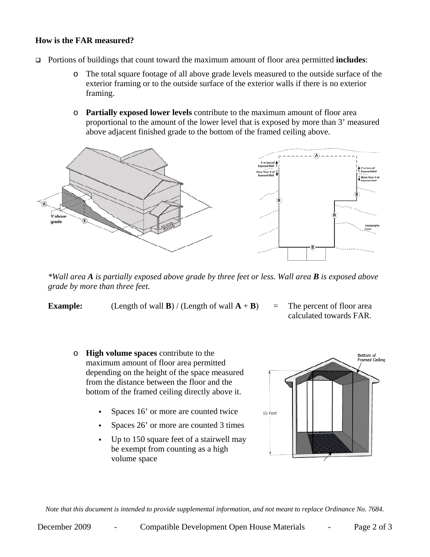## **How is the FAR measured?**

- Portions of buildings that count toward the maximum amount of floor area permitted **includes**:
	- o The total square footage of all above grade levels measured to the outside surface of the exterior framing or to the outside surface of the exterior walls if there is no exterior framing.
	- o **Partially exposed lower levels** contribute to the maximum amount of floor area proportional to the amount of the lower level that is exposed by more than 3' measured above adjacent finished grade to the bottom of the framed ceiling above.



*\*Wall area A is partially exposed above grade by three feet or less. Wall area B is exposed above grade by more than three feet.* 

**Example:** (Length of wall **B**) / (Length of wall  $\mathbf{A} + \mathbf{B}$ ) = The percent of floor area

- calculated towards FAR.
- o **High volume spaces** contribute to the maximum amount of floor area permitted depending on the height of the space measured from the distance between the floor and the bottom of the framed ceiling directly above it.
	- Spaces 16' or more are counted twice
	- Spaces 26' or more are counted 3 times
	- Up to 150 square feet of a stairwell may be exempt from counting as a high volume space



*Note that this document is intended to provide supplemental information, and not meant to replace Ordinance No. 7684.*